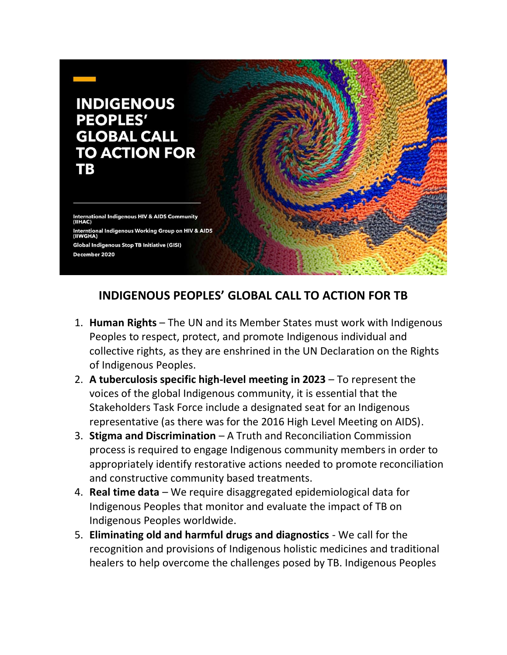

## **INDIGENOUS PEOPLES' GLOBAL CALL TO ACTION FOR TB**

- 1. **Human Rights** The UN and its Member States must work with Indigenous Peoples to respect, protect, and promote Indigenous individual and collective rights, as they are enshrined in the UN Declaration on the Rights of Indigenous Peoples.
- 2. **A tuberculosis specific high-level meeting in 2023** To represent the voices of the global Indigenous community, it is essential that the Stakeholders Task Force include a designated seat for an Indigenous representative (as there was for the 2016 High Level Meeting on AIDS).
- 3. **Stigma and Discrimination** A Truth and Reconciliation Commission process is required to engage Indigenous community members in order to appropriately identify restorative actions needed to promote reconciliation and constructive community based treatments.
- 4. **Real time data** We require disaggregated epidemiological data for Indigenous Peoples that monitor and evaluate the impact of TB on Indigenous Peoples worldwide.
- 5. **Eliminating old and harmful drugs and diagnostics**  We call for the recognition and provisions of Indigenous holistic medicines and traditional healers to help overcome the challenges posed by TB. Indigenous Peoples